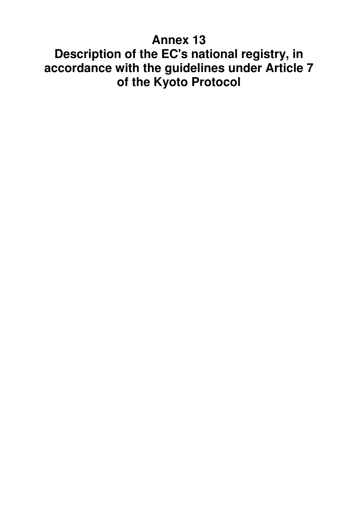# **Annex 13 Description of the EC's national registry, in accordance with the guidelines under Article 7 of the Kyoto Protocol**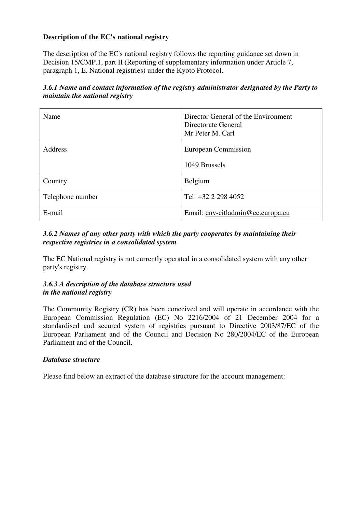## **Description of the EC's national registry**

The description of the EC's national registry follows the reporting guidance set down in Decision 15/CMP.1, part II (Reporting of supplementary information under Article 7, paragraph 1, E. National registries) under the Kyoto Protocol.

| 3.6.1 Name and contact information of the registry administrator designated by the Party to |
|---------------------------------------------------------------------------------------------|
| <i>maintain the national registry</i>                                                       |

| Name             | Director General of the Environment<br>Directorate General<br>Mr Peter M. Carl |
|------------------|--------------------------------------------------------------------------------|
| <b>Address</b>   | European Commission                                                            |
|                  | 1049 Brussels                                                                  |
| Country          | Belgium                                                                        |
| Telephone number | Tel: +32 2 298 4052                                                            |
| E-mail           | Email: env-citladmin@ec.europa.eu                                              |

## *3.6.2 Names of any other party with which the party cooperates by maintaining their respective registries in a consolidated system*

The EC National registry is not currently operated in a consolidated system with any other party's registry.

## *3.6.3 A description of the database structure used in the national registry*

The Community Registry (CR) has been conceived and will operate in accordance with the European Commission Regulation (EC) No 2216/2004 of 21 December 2004 for a standardised and secured system of registries pursuant to Directive 2003/87/EC of the European Parliament and of the Council and Decision No 280/2004/EC of the European Parliament and of the Council.

## *Database structure*

Please find below an extract of the database structure for the account management: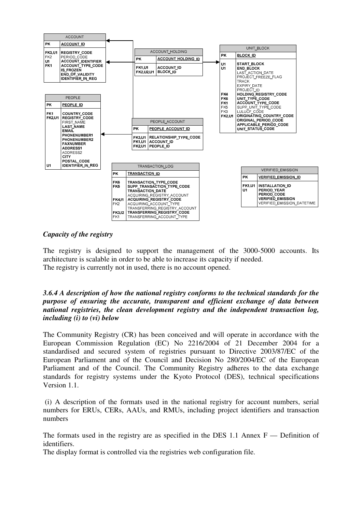

### *Capacity of the registry*

The registry is designed to support the management of the 3000-5000 accounts. Its architecture is scalable in order to be able to increase its capacity if needed. The registry is currently not in used, there is no account opened.

#### *3.6.4 A description of how the national registry conforms to the technical standards for the purpose of ensuring the accurate, transparent and efficient exchange of data between national registries, the clean development registry and the independent transaction log, including (i) to (vi) below*

The Community Registry (CR) has been conceived and will operate in accordance with the European Commission Regulation (EC) No 2216/2004 of 21 December 2004 for a standardised and secured system of registries pursuant to Directive 2003/87/EC of the European Parliament and of the Council and Decision No 280/2004/EC of the European Parliament and of the Council. The Community Registry adheres to the data exchange standards for registry systems under the Kyoto Protocol (DES), technical specifications Version 1.1.

 (i) A description of the formats used in the national registry for account numbers, serial numbers for ERUs, CERs, AAUs, and RMUs, including project identifiers and transaction numbers

The formats used in the registry are as specified in the DES 1.1 Annex F — Definition of identifiers.

The display format is controlled via the registries web configuration file.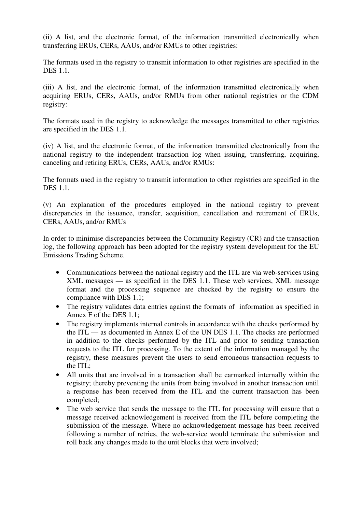(ii) A list, and the electronic format, of the information transmitted electronically when transferring ERUs, CERs, AAUs, and/or RMUs to other registries:

The formats used in the registry to transmit information to other registries are specified in the DES 1.1.

(iii) A list, and the electronic format, of the information transmitted electronically when acquiring ERUs, CERs, AAUs, and/or RMUs from other national registries or the CDM registry:

The formats used in the registry to acknowledge the messages transmitted to other registries are specified in the DES 1.1.

(iv) A list, and the electronic format, of the information transmitted electronically from the national registry to the independent transaction log when issuing, transferring, acquiring, canceling and retiring ERUs, CERs, AAUs, and/or RMUs:

The formats used in the registry to transmit information to other registries are specified in the DES 1.1.

(v) An explanation of the procedures employed in the national registry to prevent discrepancies in the issuance, transfer, acquisition, cancellation and retirement of ERUs, CERs, AAUs, and/or RMUs

In order to minimise discrepancies between the Community Registry (CR) and the transaction log, the following approach has been adopted for the registry system development for the EU Emissions Trading Scheme.

- Communications between the national registry and the ITL are via web-services using XML messages — as specified in the DES 1.1. These web services, XML message format and the processing sequence are checked by the registry to ensure the compliance with DES 1.1;
- The registry validates data entries against the formats of information as specified in Annex F of the DES 1.1;
- The registry implements internal controls in accordance with the checks performed by the ITL — as documented in Annex E of the UN DES 1.1. The checks are performed in addition to the checks performed by the ITL and prior to sending transaction requests to the ITL for processing. To the extent of the information managed by the registry, these measures prevent the users to send erroneous transaction requests to the ITL;
- All units that are involved in a transaction shall be earmarked internally within the registry; thereby preventing the units from being involved in another transaction until a response has been received from the ITL and the current transaction has been completed;
- The web service that sends the message to the ITL for processing will ensure that a message received acknowledgement is received from the ITL before completing the submission of the message. Where no acknowledgement message has been received following a number of retries, the web-service would terminate the submission and roll back any changes made to the unit blocks that were involved;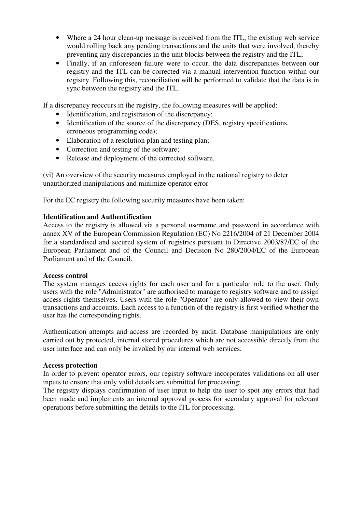- Where a 24 hour clean-up message is received from the ITL, the existing web service would rolling back any pending transactions and the units that were involved, thereby preventing any discrepancies in the unit blocks between the registry and the ITL;
- Finally, if an unforeseen failure were to occur, the data discrepancies between our registry and the ITL can be corrected via a manual intervention function within our registry. Following this, reconciliation will be performed to validate that the data is in sync between the registry and the ITL.

If a discrepancy reoccurs in the registry, the following measures will be applied:

- Identification, and registration of the discrepancy;
- Identification of the source of the discrepancy (DES, registry specifications, erroneous programming code);
- Elaboration of a resolution plan and testing plan;
- Correction and testing of the software;
- Release and deployment of the corrected software.

(vi) An overview of the security measures employed in the national registry to deter unauthorized manipulations and minimize operator error

For the EC registry the following security measures have been taken:

#### **Identification and Authentification**

Access to the registry is allowed via a personal username and password in accordance with annex XV of the European Commission Regulation (EC) No 2216/2004 of 21 December 2004 for a standardised and secured system of registries pursuant to Directive 2003/87/EC of the European Parliament and of the Council and Decision No 280/2004/EC of the European Parliament and of the Council.

#### **Access control**

The system manages access rights for each user and for a particular role to the user. Only users with the role "Administrator" are authorised to manage to registry software and to assign access rights themselves. Users with the role "Operator" are only allowed to view their own transactions and accounts. Each access to a function of the registry is first verified whether the user has the corresponding rights.

Authentication attempts and access are recorded by audit. Database manipulations are only carried out by protected, internal stored procedures which are not accessible directly from the user interface and can only be invoked by our internal web services.

#### **Access protection**

In order to prevent operator errors, our registry software incorporates validations on all user inputs to ensure that only valid details are submitted for processing;

The registry displays confirmation of user input to help the user to spot any errors that had been made and implements an internal approval process for secondary approval for relevant operations before submitting the details to the ITL for processing.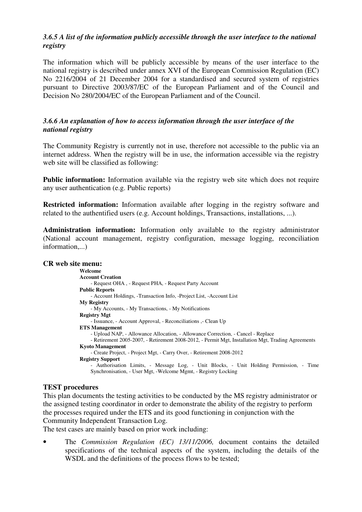## *3.6.5 A list of the information publicly accessible through the user interface to the national registry*

The information which will be publicly accessible by means of the user interface to the national registry is described under annex XVI of the European Commission Regulation (EC) No 2216/2004 of 21 December 2004 for a standardised and secured system of registries pursuant to Directive 2003/87/EC of the European Parliament and of the Council and Decision No 280/2004/EC of the European Parliament and of the Council.

## *3.6.6 An explanation of how to access information through the user interface of the national registry*

The Community Registry is currently not in use, therefore not accessible to the public via an internet address. When the registry will be in use, the information accessible via the registry web site will be classified as following:

**Public information:** Information available via the registry web site which does not require any user authentication (e.g. Public reports)

**Restricted information:** Information available after logging in the registry software and related to the authentified users (e.g. Account holdings, Transactions, installations, ...).

**Administration information:** Information only available to the registry administrator (National account management, registry configuration, message logging, reconciliation information,...)

#### **CR web site menu:**

**Welcome Account Creation**  - Request OHA , - Request PHA, - Request Party Account **Public Reports**  - Account Holdings, -Transaction Info, -Project List, -Account List **My Registry**  - My Accounts, - My Transactions, - My Notifications **Registry Mgt**  - Issuance, - Account Approval, - Reconciliations ,- Clean Up **ETS Management**  - Upload NAP, - Allowance Allocation, - Allowance Correction, - Cancel - Replace - Retirement 2005-2007, - Retirement 2008-2012, - Permit Mgt, Installation Mgt, Trading Agreements **Kyoto Management**  - Create Project, - Project Mgt, - Carry Over, - Retirement 2008-2012 **Registry Support**  - Authorisation Limits, - Message Log, - Unit Blocks, - Unit Holding Permission, - Time Synchronisation, - User Mgt, -Welcome Mgmt, - Registry Locking

## **TEST procedures**

This plan documents the testing activities to be conducted by the MS registry administrator or the assigned testing coordinator in order to demonstrate the ability of the registry to perform the processes required under the ETS and its good functioning in conjunction with the Community Independent Transaction Log.

The test cases are mainly based on prior work including:

• The *Commission Regulation (EC) 13/11/2006,* document contains the detailed specifications of the technical aspects of the system, including the details of the WSDL and the definitions of the process flows to be tested;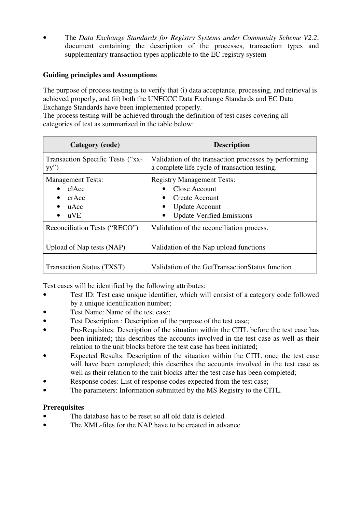• The *Data Exchange Standards for Registry Systems under Community Scheme V2.2*, document containing the description of the processes, transaction types and supplementary transaction types applicable to the EC registry system

## **Guiding principles and Assumptions**

The purpose of process testing is to verify that (i) data acceptance, processing, and retrieval is achieved properly, and (ii) both the UNFCCC Data Exchange Standards and EC Data Exchange Standards have been implemented properly.

The process testing will be achieved through the definition of test cases covering all categories of test as summarized in the table below:

| Category (code)                                           | <b>Description</b>                                                                                                                       |
|-----------------------------------------------------------|------------------------------------------------------------------------------------------------------------------------------------------|
| Transaction Specific Tests ("xx-<br>yy'')                 | Validation of the transaction processes by performing<br>a complete life cycle of transaction testing.                                   |
| <b>Management Tests:</b><br>clAcc<br>crAcc<br>uAcc<br>uVE | <b>Registry Management Tests:</b><br>Close Account<br><b>Create Account</b><br><b>Update Account</b><br><b>Update Verified Emissions</b> |
| Reconciliation Tests ("RECO")                             | Validation of the reconciliation process.                                                                                                |
| Upload of Nap tests (NAP)                                 | Validation of the Nap upload functions                                                                                                   |
| Transaction Status (TXST)                                 | Validation of the GetTransactionStatus function                                                                                          |

Test cases will be identified by the following attributes:

- Test ID: Test case unique identifier, which will consist of a category code followed by a unique identification number;
- Test Name: Name of the test case;
- Test Description : Description of the purpose of the test case;
- Pre-Requisites: Description of the situation within the CITL before the test case has been initiated; this describes the accounts involved in the test case as well as their relation to the unit blocks before the test case has been initiated;
- Expected Results: Description of the situation within the CITL once the test case will have been completed; this describes the accounts involved in the test case as well as their relation to the unit blocks after the test case has been completed;
- Response codes: List of response codes expected from the test case;
- The parameters: Information submitted by the MS Registry to the CITL.

## **Prerequisites**

- The database has to be reset so all old data is deleted.
- The XML-files for the NAP have to be created in advance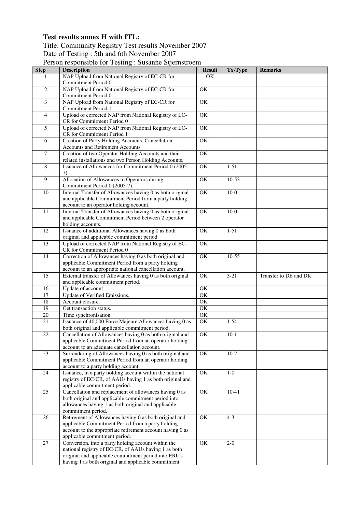## **Test results annex H with ITL:**

## Title: Community Registry Test results November 2007 Date of Testing : 5th and 6th November 2007

Person responsible for Testing : Susanne Stjernstroem

| <b>Step</b>     | <b>Description</b>                                                                                          | <b>Result</b>          | Tx-Type   | <b>Remarks</b>        |
|-----------------|-------------------------------------------------------------------------------------------------------------|------------------------|-----------|-----------------------|
|                 | NAP Upload from National Registry of EC-CR for                                                              | OK                     |           |                       |
|                 | Commitment Period 0                                                                                         |                        |           |                       |
| 2               | NAP Upload from National Registry of EC-CR for                                                              | OK                     |           |                       |
|                 | Commitment Period 0                                                                                         |                        |           |                       |
| $\overline{3}$  | NAP Upload from National Registry of EC-CR for                                                              | OK                     |           |                       |
|                 | Commitment Period 1                                                                                         |                        |           |                       |
| $\overline{4}$  | Upload of corrected NAP from National Registry of EC-                                                       | OK                     |           |                       |
|                 | CR for Commitment Period 0                                                                                  |                        |           |                       |
| $\overline{5}$  | Upload of corrected NAP from National Registry of EC-                                                       | OK                     |           |                       |
|                 | CR for Commitment Period 1                                                                                  |                        |           |                       |
| 6               | Creation of Party Holding Accounts, Cancellation                                                            | OK                     |           |                       |
|                 | <b>Accounts and Retirement Accounts</b>                                                                     |                        |           |                       |
| $\overline{7}$  | Creation of two Operator Holding Accounts and their                                                         | OK                     |           |                       |
|                 | related installations and two Person Holding Accounts.                                                      |                        |           |                       |
| $\overline{8}$  | Issuance of Allowances for Commitment Period 0 (2005-                                                       | $\overline{\text{OK}}$ | $1-51$    |                       |
|                 | 7)                                                                                                          |                        |           |                       |
| 9               | Allocation of Allowances to Operators during                                                                | OK                     | $10-53$   |                       |
|                 | Commitment Period 0 (2005-7).                                                                               |                        |           |                       |
| 10              | Internal Transfer of Allowances having 0 as both original                                                   | $\overline{\text{OK}}$ | $10-0$    |                       |
|                 | and applicable Commitment Period from a party holding                                                       |                        |           |                       |
|                 | account to an operator holding account.                                                                     |                        |           |                       |
| 11              | Internal Transfer of Allowances having 0 as both original                                                   | OK                     | $10-0$    |                       |
|                 | and applicable Commitment Period between 2 operator                                                         |                        |           |                       |
|                 | holding accounts.                                                                                           |                        |           |                       |
| 12              | Issuance of additional Allowances having 0 as both                                                          | OK                     | $1-51$    |                       |
|                 | original and applicable commitment period                                                                   |                        |           |                       |
| $\overline{13}$ | Upload of corrected NAP from National Registry of EC-                                                       | $\overline{\text{OK}}$ |           |                       |
|                 | CR for Commitment Period 0                                                                                  | $\overline{\text{OK}}$ |           |                       |
| 14              | Correction of Allowances having 0 as both original and<br>applicable Commitment Period from a party holding |                        | $10-55$   |                       |
|                 | account to an appropriate national cancellation account.                                                    |                        |           |                       |
| 15              | External transfer of Allowances having 0 as both original                                                   | OK                     | $3 - 21$  | Transfer to DE and DK |
|                 | and applicable commitment period.                                                                           |                        |           |                       |
| 16              | Update of account                                                                                           | OK                     |           |                       |
| $\overline{17}$ | Update of Verified Emissions.                                                                               | $\overline{\text{OK}}$ |           |                       |
| 18              | Account closure.                                                                                            | $\overline{\text{OK}}$ |           |                       |
| $\overline{19}$ | Get transaction status.                                                                                     | $\overline{\text{OK}}$ |           |                       |
| $20\,$          | Time synchronisation                                                                                        | OK                     |           |                       |
| 21              | Issuance of 40,000 Force Majeure Allowances having 0 as                                                     | OK                     | $1 - 54$  |                       |
|                 | both original and applicable commitment period.                                                             |                        |           |                       |
| 22              | Cancellation of Allowances having 0 as both original and                                                    | $\overline{\text{OK}}$ | $10-1$    |                       |
|                 | applicable Commitment Period from an operator holding                                                       |                        |           |                       |
|                 | account to an adequate cancellation account.                                                                |                        |           |                       |
| 23              | Surrendering of Allowances having 0 as both original and                                                    | OK                     | $10-2$    |                       |
|                 | applicable Commitment Period from an operator holding                                                       |                        |           |                       |
|                 | account to a party holding account.                                                                         |                        |           |                       |
| 24              | Issuance, in a party holding account within the national                                                    | OK                     | $1-0$     |                       |
|                 | registry of EC-CR, of AAUs having 1 as both original and                                                    |                        |           |                       |
|                 | applicable commitment period.                                                                               |                        |           |                       |
| 25              | Cancellation and replacement of allowances having 0 as                                                      | OK                     | $10 - 41$ |                       |
|                 | both original and applicable commitment period into                                                         |                        |           |                       |
|                 | allowances having 1 as both original and applicable                                                         |                        |           |                       |
|                 | commitment period.                                                                                          |                        |           |                       |
| 26              | Retirement of Allowances having 0 as both original and                                                      | OK                     | $4 - 3$   |                       |
|                 | applicable Commitment Period from a party holding                                                           |                        |           |                       |
|                 | account to the appropriate retirement account having 0 as                                                   |                        |           |                       |
|                 | applicable commitment period.                                                                               |                        |           |                       |
| 27              | Conversion, into a party holding account within the                                                         | OK                     | $2 - 0$   |                       |
|                 | national registry of EC-CR, of AAUs having 1 as both                                                        |                        |           |                       |
|                 | original and applicable commitment period into ERU's                                                        |                        |           |                       |
|                 | having 1 as both original and applicable commitment                                                         |                        |           |                       |